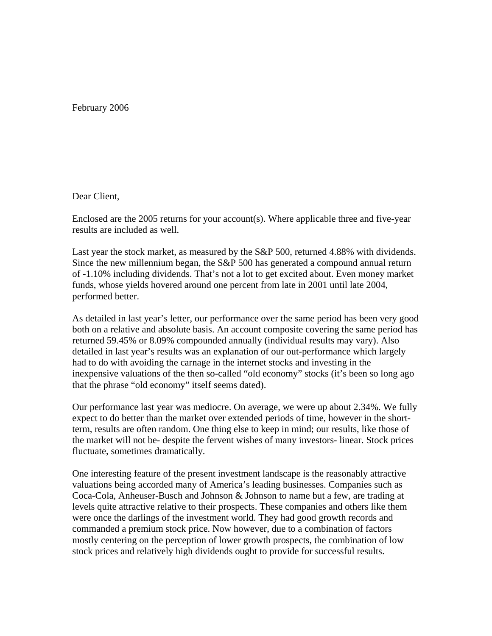February 2006

## Dear Client,

Enclosed are the 2005 returns for your account(s). Where applicable three and five-year results are included as well.

Last year the stock market, as measured by the S&P 500, returned 4.88% with dividends. Since the new millennium began, the S&P 500 has generated a compound annual return of -1.10% including dividends. That's not a lot to get excited about. Even money market funds, whose yields hovered around one percent from late in 2001 until late 2004, performed better.

As detailed in last year's letter, our performance over the same period has been very good both on a relative and absolute basis. An account composite covering the same period has returned 59.45% or 8.09% compounded annually (individual results may vary). Also detailed in last year's results was an explanation of our out-performance which largely had to do with avoiding the carnage in the internet stocks and investing in the inexpensive valuations of the then so-called "old economy" stocks (it's been so long ago that the phrase "old economy" itself seems dated).

Our performance last year was mediocre. On average, we were up about 2.34%. We fully expect to do better than the market over extended periods of time, however in the shortterm, results are often random. One thing else to keep in mind; our results, like those of the market will not be- despite the fervent wishes of many investors- linear. Stock prices fluctuate, sometimes dramatically.

One interesting feature of the present investment landscape is the reasonably attractive valuations being accorded many of America's leading businesses. Companies such as Coca-Cola, Anheuser-Busch and Johnson & Johnson to name but a few, are trading at levels quite attractive relative to their prospects. These companies and others like them were once the darlings of the investment world. They had good growth records and commanded a premium stock price. Now however, due to a combination of factors mostly centering on the perception of lower growth prospects, the combination of low stock prices and relatively high dividends ought to provide for successful results.